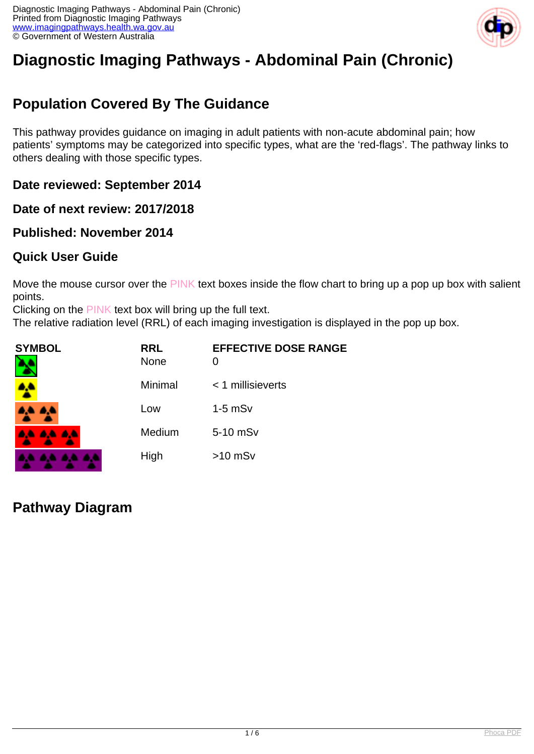

# **Diagnostic Imaging Pathways - Abdominal Pain (Chronic)**

## **Population Covered By The Guidance**

This pathway provides guidance on imaging in adult patients with non-acute abdominal pain; how patients' symptoms may be categorized into specific types, what are the 'red-flags'. The pathway links to others dealing with those specific types.

**Date reviewed: September 2014**

**Date of next review: 2017/2018**

**Published: November 2014**

#### **Quick User Guide**

Move the mouse cursor over the PINK text boxes inside the flow chart to bring up a pop up box with salient points.

Clicking on the PINK text box will bring up the full text.

The relative radiation level (RRL) of each imaging investigation is displayed in the pop up box.

| <b>SYMBOL</b>   | <b>RRL</b><br><b>None</b> | <b>EFFECTIVE DOSE RANGE</b><br>$\Omega$ |
|-----------------|---------------------------|-----------------------------------------|
|                 | Minimal                   | $<$ 1 millisieverts                     |
| 4,4 A,4         | Low                       | $1-5$ mS $v$                            |
| <b>AA AA AA</b> | Medium                    | 5-10 mSv                                |
|                 | High                      | $>10$ mSv                               |

#### **Pathway Diagram**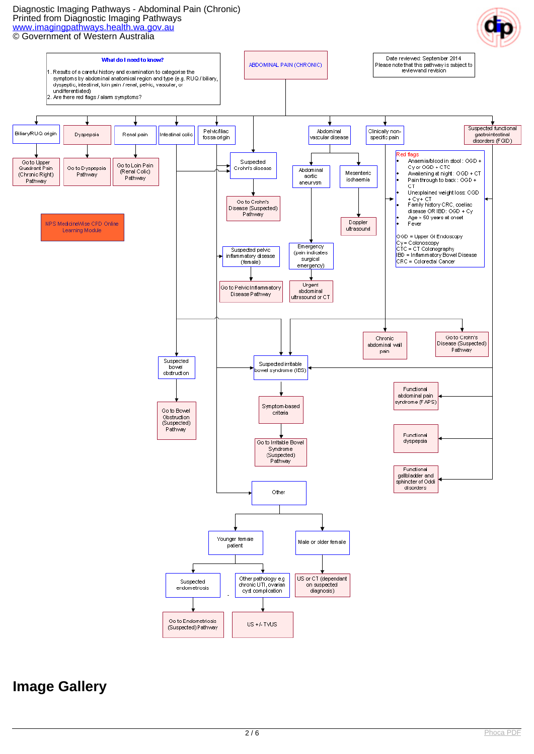#### Diagnostic Imaging Pathways - Abdominal Pain (Chronic) Printed from Diagnostic Imaging Pathways [www.imagingpathways.health.wa.gov.au](http://www.imagingpathways.health.wa.gov.au/) © Government of Western Australia



#### **Image Gallery**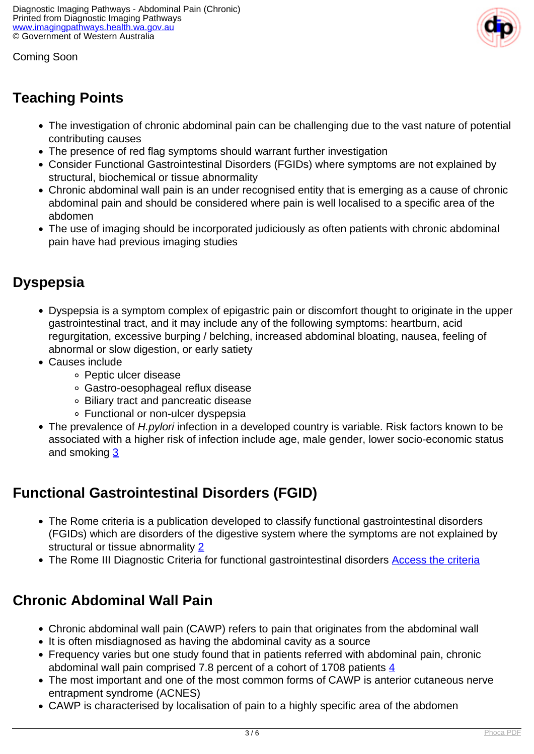Coming Soon



## **Teaching Points**

- The investigation of chronic abdominal pain can be challenging due to the vast nature of potential contributing causes
- The presence of red flag symptoms should warrant further investigation
- Consider Functional Gastrointestinal Disorders (FGIDs) where symptoms are not explained by structural, biochemical or tissue abnormality
- Chronic abdominal wall pain is an under recognised entity that is emerging as a cause of chronic abdominal pain and should be considered where pain is well localised to a specific area of the abdomen
- The use of imaging should be incorporated judiciously as often patients with chronic abdominal pain have had previous imaging studies

### **Dyspepsia**

- Dyspepsia is a symptom complex of epigastric pain or discomfort thought to originate in the upper gastrointestinal tract, and it may include any of the following symptoms: heartburn, acid regurgitation, excessive burping / belching, increased abdominal bloating, nausea, feeling of abnormal or slow digestion, or early satiety
- Causes include
	- Peptic ulcer disease
	- Gastro-oesophageal reflux disease
	- Biliary tract and pancreatic disease
	- Functional or non-ulcer dyspepsia
- The prevalence of *H.pylori* infection in a developed country is variable. Risk factors known to be associated with a higher risk of infection include age, male gender, lower socio-economic status and smoking [3](index.php?option=com_content&view=article&id=383&tab=References#3)

### **Functional Gastrointestinal Disorders (FGID)**

- The Rome criteria is a publication developed to classify functional gastrointestinal disorders (FGIDs) which are disorders of the digestive system where the symptoms are not explained by structural or tissue abnormality [2](index.php?option=com_content&view=article&id=383&tab=References#2)
- The Rome III Diagnostic Criteria for functional gastrointestinal disorders [Access the criteria](http://romecriteria.org/assets/pdf/19_RomeIII_apA_885-898.pdf)

#### **Chronic Abdominal Wall Pain**

- Chronic abdominal wall pain (CAWP) refers to pain that originates from the abdominal wall
- It is often misdiagnosed as having the abdominal cavity as a source
- Frequency varies but one study found that in patients referred with abdominal pain, chronic abdominal wall pain comprised 7.8 percent of a cohort of 1708 patients  $\frac{4}{3}$  $\frac{4}{3}$  $\frac{4}{3}$
- The most important and one of the most common forms of CAWP is anterior cutaneous nerve entrapment syndrome (ACNES)
- CAWP is characterised by localisation of pain to a highly specific area of the abdomen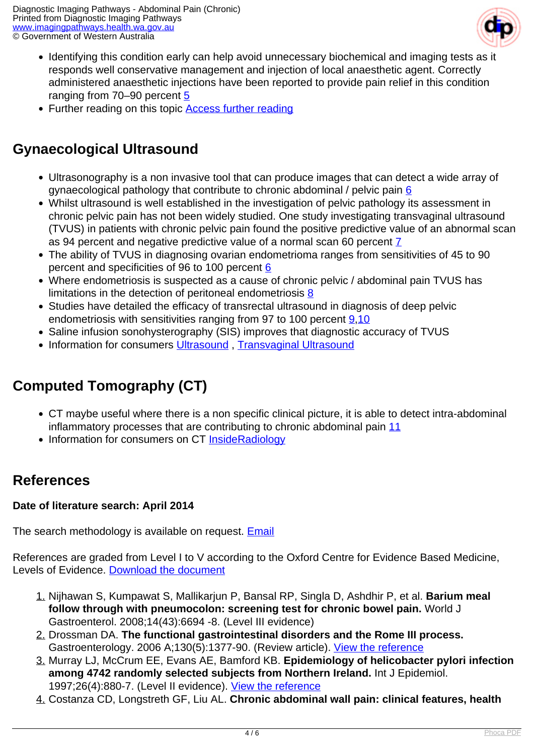

- Identifying this condition early can help avoid unnecessary biochemical and imaging tests as it responds well conservative management and injection of local anaesthetic agent. Correctly administered anaesthetic injections have been reported to provide pain relief in this condition ranging from 70–90 percent [5](index.php?option=com_content&view=article&id=383&tab=References#5)
- Further reading on this topic **[Access further reading](http://www.thepermanentejournal.org/files/Summer2002/acnes.pdf)**

### **Gynaecological Ultrasound**

- Ultrasonography is a non invasive tool that can produce images that can detect a wide array of gynaecological pathology that contribute to chronic abdominal / pelvic pain  $6$
- Whilst ultrasound is well established in the investigation of pelvic pathology its assessment in chronic pelvic pain has not been widely studied. One study investigating transvaginal ultrasound (TVUS) in patients with chronic pelvic pain found the positive predictive value of an abnormal scan as 94 percent and negative predictive value of a normal scan 60 percent [7](index.php?option=com_content&view=article&id=383&tab=References#7)
- The ability of TVUS in diagnosing ovarian endometrioma ranges from sensitivities of 45 to 90 percent and specificities of 9[6](index.php?option=com_content&view=article&id=383&tab=References#6) to 100 percent 6
- Where endometriosis is suspected as a cause of chronic pelvic / abdominal pain TVUS has limitations in the detection of peritoneal endometriosis [8](index.php?option=com_content&view=article&id=383&tab=References#8)
- Studies have detailed the efficacy of transrectal ultrasound in diagnosis of deep pelvic endometriosis with sensitivities ranging from 97 to 100 percent [9,](index.php?option=com_content&view=article&id=383&tab=References#9)[10](index.php?option=com_content&view=article&id=383&tab=References#10)
- Saline infusion sonohysterography (SIS) improves that diagnostic accuracy of TVUS
- Information for consumers Ultrasound, [Transvaginal Ultrasound](http://insideradiology.com.au/pages/view.php?T_id=72#.VEh7kFfwByU.)

## **Computed Tomography (CT)**

- CT maybe useful where there is a non specific clinical picture, it is able to detect intra-abdominal inflammatory processes that are contributing to chronic abdominal pain [11](index.php? option=com_content&view=article&id=383&tab=References#11)
- Information for consumers on CT [InsideRadiology](http://insideradiology.com.au/pages/view.php?T_id=61#.VEh73VfwByU.)

#### **References**

#### **Date of literature search: April 2014**

The search methodology is available on request. **[Email](index.php/contact-us)** 

References are graded from Level I to V according to the Oxford Centre for Evidence Based Medicine, Levels of Evidence. [Download the document](http://www.cebm.net/wp-content/uploads/2014/06/CEBM-Levels-of-Evidence-2.1.pdf)

- 1. Nijhawan S, Kumpawat S, Mallikarjun P, Bansal RP, Singla D, Ashdhir P, et al. **Barium meal follow through with pneumocolon: screening test for chronic bowel pain.** World J Gastroenterol. 2008;14(43):6694 -8. (Level III evidence)
- 2. Drossman DA. **The functional gastrointestinal disorders and the Rome III process.** Gastroenterology. 2006 A;130(5):1377-90. (Review article). [View the reference](http://www.ncbi.nlm.nih.gov/pubmed/16678553)
- 3. Murray LJ, McCrum EE, Evans AE, Bamford KB. **Epidemiology of helicobacter pylori infection among 4742 randomly selected subjects from Northern Ireland.** Int J Epidemiol. 1997;26(4):880-7. (Level II evidence). [View the reference](http://www.ncbi.nlm.nih.gov/pubmed/9279623)
- 4. Costanza CD, Longstreth GF, Liu AL. **Chronic abdominal wall pain: clinical features, health**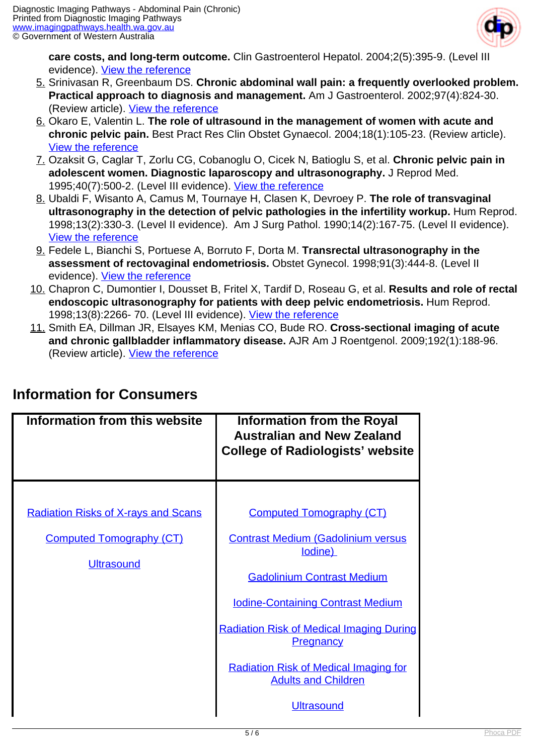

**care costs, and long-term outcome.** Clin Gastroenterol Hepatol. 2004;2(5):395-9. (Level III evidence). [View the reference](http://www.ncbi.nlm.nih.gov/pubmed/15118977)

- 5. Srinivasan R, Greenbaum DS. **Chronic abdominal wall pain: a frequently overlooked problem. Practical approach to diagnosis and management.** Am J Gastroenterol. 2002;97(4):824-30. (Review article). [View the reference](http://www.ncbi.nlm.nih.gov/pubmed/12003414)
- 6. Okaro E, Valentin L. **The role of ultrasound in the management of women with acute and chronic pelvic pain.** Best Pract Res Clin Obstet Gynaecol. 2004;18(1):105-23. (Review article). [View the reference](http://www.ncbi.nlm.nih.gov/pubmed/15123061)
- 7. Ozaksit G, Caglar T, Zorlu CG, Cobanoglu O, Cicek N, Batioglu S, et al. **Chronic pelvic pain in adolescent women. Diagnostic laparoscopy and ultrasonography.** J Reprod Med. 1995;40(7):500-2. (Level III evidence). [View the reference](http://www.ncbi.nlm.nih.gov/pubmed/7473437)
- 8. Ubaldi F, Wisanto A, Camus M, Tournaye H, Clasen K, Devroey P. **The role of transvaginal ultrasonography in the detection of pelvic pathologies in the infertility workup.** Hum Reprod. 1998;13(2):330-3. (Level II evidence). Am J Surg Pathol. 1990;14(2):167-75. (Level II evidence). [View the reference](http://www.ncbi.nlm.nih.gov/pubmed/9557832)
- 9. Fedele L, Bianchi S, Portuese A, Borruto F, Dorta M. **Transrectal ultrasonography in the assessment of rectovaginal endometriosis.** Obstet Gynecol. 1998;91(3):444-8. (Level II evidence). [View the reference](http://www.ncbi.nlm.nih.gov/pubmed/9491875)
- 10. Chapron C, Dumontier I, Dousset B, Fritel X, Tardif D, Roseau G, et al. **Results and role of rectal endoscopic ultrasonography for patients with deep pelvic endometriosis.** Hum Reprod. 1998;13(8):2266-70. (Level III evidence). [View the reference](http://www.ncbi.nlm.nih.gov/pubmed/9756308)
- 11. Smith EA, Dillman JR, Elsayes KM, Menias CO, Bude RO. **Cross-sectional imaging of acute and chronic gallbladder inflammatory disease.** AJR Am J Roentgenol. 2009;192(1):188-96. (Review article). [View the reference](http://www.ncbi.nlm.nih.gov/pubmed/19098200)

| Information from this website                                                                      | <b>Information from the Royal</b><br><b>Australian and New Zealand</b><br><b>College of Radiologists' website</b>                                                                                                                                                                                                                                  |
|----------------------------------------------------------------------------------------------------|----------------------------------------------------------------------------------------------------------------------------------------------------------------------------------------------------------------------------------------------------------------------------------------------------------------------------------------------------|
| <b>Radiation Risks of X-rays and Scans</b><br><b>Computed Tomography (CT)</b><br><b>Ultrasound</b> | <b>Computed Tomography (CT)</b><br><b>Contrast Medium (Gadolinium versus</b><br>lodine)<br><b>Gadolinium Contrast Medium</b><br><b>Iodine-Containing Contrast Medium</b><br><b>Radiation Risk of Medical Imaging During</b><br><b>Pregnancy</b><br><b>Radiation Risk of Medical Imaging for</b><br><b>Adults and Children</b><br><b>Ultrasound</b> |

#### **Information for Consumers**